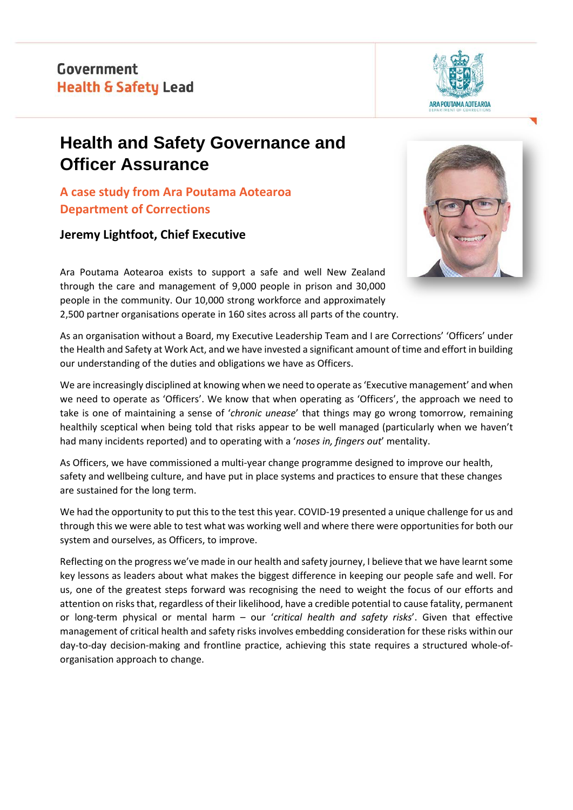

# **Health and Safety Governance and Officer Assurance**

**A case study from Ara Poutama Aotearoa Department of Corrections**

## **Jeremy Lightfoot, Chief Executive**



Ara Poutama Aotearoa exists to support a safe and well New Zealand through the care and management of 9,000 people in prison and 30,000 people in the community. Our 10,000 strong workforce and approximately 2,500 partner organisations operate in 160 sites across all parts of the country.

As an organisation without a Board, my Executive Leadership Team and I are Corrections' 'Officers' under the Health and Safety at Work Act, and we have invested a significant amount of time and effort in building our understanding of the duties and obligations we have as Officers.

We are increasingly disciplined at knowing when we need to operate as 'Executive management' and when we need to operate as 'Officers'. We know that when operating as 'Officers', the approach we need to take is one of maintaining a sense of '*chronic unease*' that things may go wrong tomorrow, remaining healthily sceptical when being told that risks appear to be well managed (particularly when we haven't had many incidents reported) and to operating with a '*noses in, fingers out*' mentality.

As Officers, we have commissioned a multi-year change programme designed to improve our health, safety and wellbeing culture, and have put in place systems and practices to ensure that these changes are sustained for the long term.

We had the opportunity to put this to the test this year. COVID-19 presented a unique challenge for us and through this we were able to test what was working well and where there were opportunities for both our system and ourselves, as Officers, to improve.

Reflecting on the progress we've made in our health and safety journey, I believe that we have learnt some key lessons as leaders about what makes the biggest difference in keeping our people safe and well. For us, one of the greatest steps forward was recognising the need to weight the focus of our efforts and attention on risks that, regardless of their likelihood, have a credible potential to cause fatality, permanent or long-term physical or mental harm – our '*critical health and safety risks*'. Given that effective management of critical health and safety risks involves embedding consideration for these risks within our day-to-day decision-making and frontline practice, achieving this state requires a structured whole-oforganisation approach to change.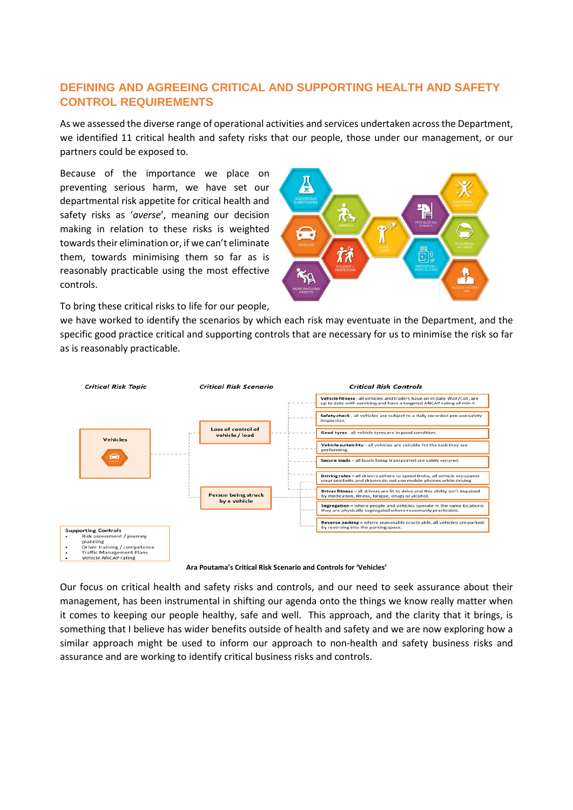## **DEFINING AND AGREEING CRITICAL AND SUPPORTING HEALTH AND SAFETY CONTROL REQUIREMENTS**

As we assessed the diverse range of operational activities and services undertaken across the Department, we identified 11 critical health and safety risks that our people, those under our management, or our partners could be exposed to.

Because of the importance we place on preventing serious harm, we have set our departmental risk appetite for critical health and safety risks as '*averse*', meaning our decision making in relation to these risks is weighted towards their elimination or, if we can't eliminate them, towards minimising them so far as is reasonably practicable using the most effective controls.



To bring these critical risks to life for our people,

we have worked to identify the scenarios by which each risk may eventuate in the Department, and the specific good practice critical and supporting controls that are necessary for us to minimise the risk so far as is reasonably practicable.



**Ara Poutama's Critical Risk Scenario and Controls for 'Vehicles'**

Our focus on critical health and safety risks and controls, and our need to seek assurance about their management, has been instrumental in shifting our agenda onto the things we know really matter when it comes to keeping our people healthy, safe and well. This approach, and the clarity that it brings, is something that I believe has wider benefits outside of health and safety and we are now exploring how a similar approach might be used to inform our approach to non-health and safety business risks and assurance and are working to identify critical business risks and controls.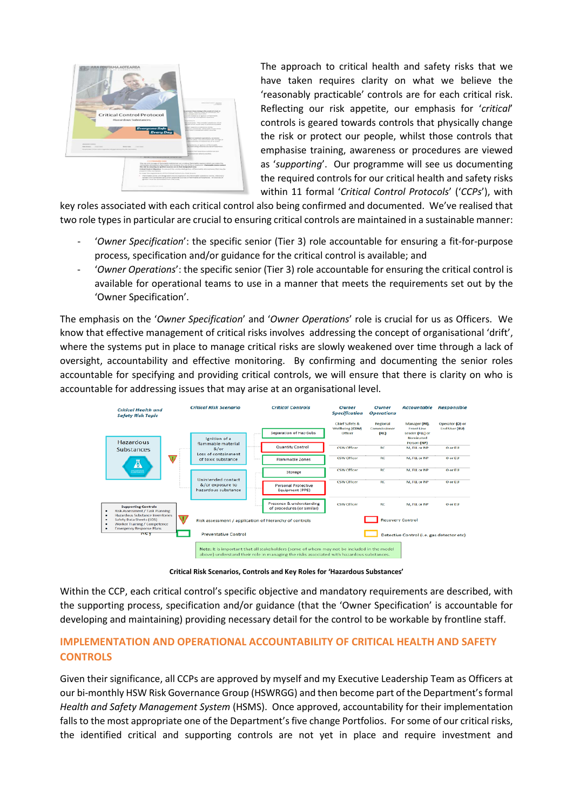

The approach to critical health and safety risks that we have taken requires clarity on what we believe the 'reasonably practicable' controls are for each critical risk. Reflecting our risk appetite, our emphasis for '*critical*' controls is geared towards controls that physically change the risk or protect our people, whilst those controls that emphasise training, awareness or procedures are viewed as '*supporting*'. Our programme will see us documenting the required controls for our critical health and safety risks within 11 formal '*Critical Control Protocols*' ('*CCPs*'), with

key roles associated with each critical control also being confirmed and documented. We've realised that two role types in particular are crucial to ensuring critical controls are maintained in a sustainable manner:

- 'Owner Specification': the specific senior (Tier 3) role accountable for ensuring a fit-for-purpose process, specification and/or guidance for the critical control is available; and
- '*Owner Operations*': the specific senior (Tier 3) role accountable for ensuring the critical control is available for operational teams to use in a manner that meets the requirements set out by the 'Owner Specification'.

The emphasis on the '*Owner Specification*' and '*Owner Operations*' role is crucial for us as Officers. We know that effective management of critical risks involves addressing the concept of organisational 'drift', where the systems put in place to manage critical risks are slowly weakened over time through a lack of oversight, accountability and effective monitoring. By confirming and documenting the senior roles accountable for specifying and providing critical controls, we will ensure that there is clarity on who is accountable for addressing issues that may arise at an organisational level.



**Critical Risk Scenarios, Controls and Key Roles for 'Hazardous Substances'**

Within the CCP, each critical control's specific objective and mandatory requirements are described, with the supporting process, specification and/or guidance (that the 'Owner Specification' is accountable for developing and maintaining) providing necessary detail for the control to be workable by frontline staff.

## **IMPLEMENTATION AND OPERATIONAL ACCOUNTABILITY OF CRITICAL HEALTH AND SAFETY CONTROLS**

Given their significance, all CCPs are approved by myself and my Executive Leadership Team as Officers at our bi-monthly HSW Risk Governance Group (HSWRGG) and then become part of the Department's formal *Health and Safety Management System* (HSMS). Once approved, accountability for their implementation falls to the most appropriate one of the Department's five change Portfolios. For some of our critical risks, the identified critical and supporting controls are not yet in place and require investment and